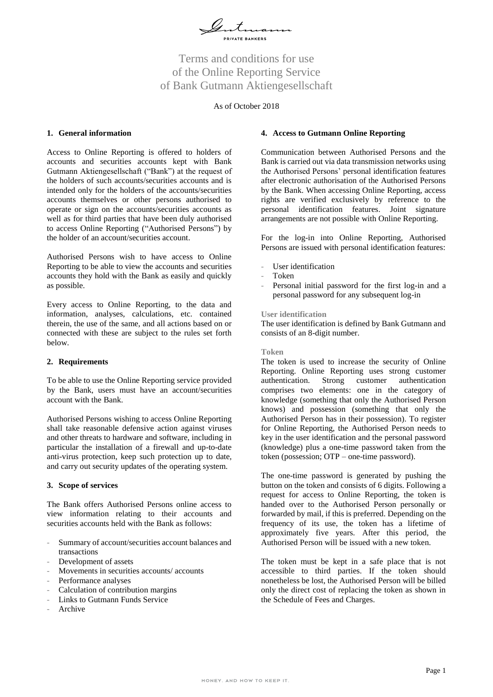

# Terms and conditions for use of the Online Reporting Service of Bank Gutmann Aktiengesellschaft

## As of October 2018

## **1. General information**

Access to Online Reporting is offered to holders of accounts and securities accounts kept with Bank Gutmann Aktiengesellschaft ("Bank") at the request of the holders of such accounts/securities accounts and is intended only for the holders of the accounts/securities accounts themselves or other persons authorised to operate or sign on the accounts/securities accounts as well as for third parties that have been duly authorised to access Online Reporting ("Authorised Persons") by the holder of an account/securities account.

Authorised Persons wish to have access to Online Reporting to be able to view the accounts and securities accounts they hold with the Bank as easily and quickly as possible.

Every access to Online Reporting, to the data and information, analyses, calculations, etc. contained therein, the use of the same, and all actions based on or connected with these are subject to the rules set forth below.

#### **2. Requirements**

To be able to use the Online Reporting service provided by the Bank, users must have an account/securities account with the Bank.

Authorised Persons wishing to access Online Reporting shall take reasonable defensive action against viruses and other threats to hardware and software, including in particular the installation of a firewall and up-to-date anti-virus protection, keep such protection up to date, and carry out security updates of the operating system.

#### **3. Scope of services**

The Bank offers Authorised Persons online access to view information relating to their accounts and securities accounts held with the Bank as follows:

- *-* Summary of account/securities account balances and transactions
- *-* Development of assets
- *-* Movements in securities accounts/ accounts
- *-* Performance analyses
- *-* Calculation of contribution margins
- *-* Links to Gutmann Funds Service
- *-* Archive

#### **4. Access to Gutmann Online Reporting**

Communication between Authorised Persons and the Bank is carried out via data transmission networks using the Authorised Persons' personal identification features after electronic authorisation of the Authorised Persons by the Bank. When accessing Online Reporting, access rights are verified exclusively by reference to the personal identification features. Joint signature arrangements are not possible with Online Reporting.

For the log-in into Online Reporting, Authorised Persons are issued with personal identification features:

- *-* User identification
- *-* Token
- Personal initial password for the first log-in and a personal password for any subsequent log-in

#### **User identification**

The user identification is defined by Bank Gutmann and consists of an 8-digit number.

#### **Token**

The token is used to increase the security of Online Reporting. Online Reporting uses strong customer authentication. Strong customer authentication comprises two elements: one in the category of knowledge (something that only the Authorised Person knows) and possession (something that only the Authorised Person has in their possession). To register for Online Reporting, the Authorised Person needs to key in the user identification and the personal password (knowledge) plus a one-time password taken from the token (possession; OTP – one-time password).

The one-time password is generated by pushing the button on the token and consists of 6 digits. Following a request for access to Online Reporting, the token is handed over to the Authorised Person personally or forwarded by mail, if this is preferred. Depending on the frequency of its use, the token has a lifetime of approximately five years. After this period, the Authorised Person will be issued with a new token.

The token must be kept in a safe place that is not accessible to third parties. If the token should nonetheless be lost, the Authorised Person will be billed only the direct cost of replacing the token as shown in the Schedule of Fees and Charges.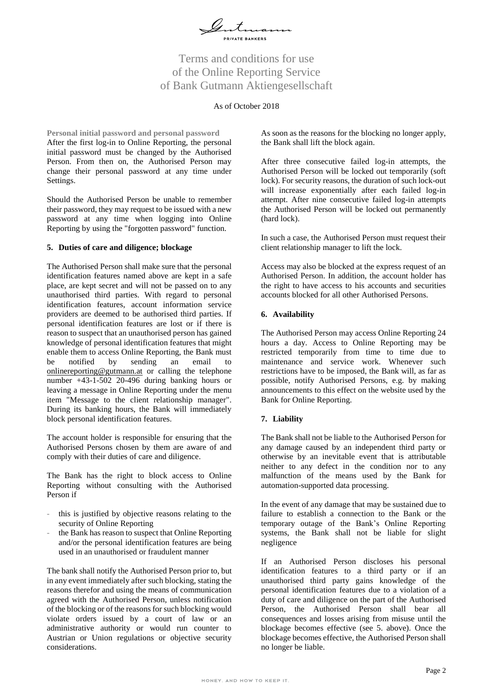

# Terms and conditions for use of the Online Reporting Service of Bank Gutmann Aktiengesellschaft

# As of October 2018

**Personal initial password and personal password** After the first log-in to Online Reporting, the personal initial password must be changed by the Authorised Person. From then on, the Authorised Person may change their personal password at any time under Settings.

Should the Authorised Person be unable to remember their password, they may request to be issued with a new password at any time when logging into Online Reporting by using the "forgotten password" function.

# **5. Duties of care and diligence; blockage**

The Authorised Person shall make sure that the personal identification features named above are kept in a safe place, are kept secret and will not be passed on to any unauthorised third parties. With regard to personal identification features, account information service providers are deemed to be authorised third parties. If personal identification features are lost or if there is reason to suspect that an unauthorised person has gained knowledge of personal identification features that might enable them to access Online Reporting, the Bank must be notified by sending an email to [onlinereporting@gutmann.at](mailto:onlinereporting@gutmann.at) or calling the telephone number +43-1-502 20-496 during banking hours or leaving a message in Online Reporting under the menu item "Message to the client relationship manager". During its banking hours, the Bank will immediately block personal identification features.

The account holder is responsible for ensuring that the Authorised Persons chosen by them are aware of and comply with their duties of care and diligence.

The Bank has the right to block access to Online Reporting without consulting with the Authorised Person if

- *-* this is justified by objective reasons relating to the security of Online Reporting
- *-* the Bank has reason to suspect that Online Reporting and/or the personal identification features are being used in an unauthorised or fraudulent manner

The bank shall notify the Authorised Person prior to, but in any event immediately after such blocking, stating the reasons therefor and using the means of communication agreed with the Authorised Person, unless notification of the blocking or of the reasons for such blocking would violate orders issued by a court of law or an administrative authority or would run counter to Austrian or Union regulations or objective security considerations.

As soon as the reasons for the blocking no longer apply, the Bank shall lift the block again.

After three consecutive failed log-in attempts, the Authorised Person will be locked out temporarily (soft lock). For security reasons, the duration of such lock-out will increase exponentially after each failed log-in attempt. After nine consecutive failed log-in attempts the Authorised Person will be locked out permanently (hard lock).

In such a case, the Authorised Person must request their client relationship manager to lift the lock.

Access may also be blocked at the express request of an Authorised Person. In addition, the account holder has the right to have access to his accounts and securities accounts blocked for all other Authorised Persons.

# **6. Availability**

The Authorised Person may access Online Reporting 24 hours a day. Access to Online Reporting may be restricted temporarily from time to time due to maintenance and service work. Whenever such restrictions have to be imposed, the Bank will, as far as possible, notify Authorised Persons, e.g. by making announcements to this effect on the website used by the Bank for Online Reporting.

# **7. Liability**

The Bank shall not be liable to the Authorised Person for any damage caused by an independent third party or otherwise by an inevitable event that is attributable neither to any defect in the condition nor to any malfunction of the means used by the Bank for automation-supported data processing.

In the event of any damage that may be sustained due to failure to establish a connection to the Bank or the temporary outage of the Bank's Online Reporting systems, the Bank shall not be liable for slight negligence

If an Authorised Person discloses his personal identification features to a third party or if an unauthorised third party gains knowledge of the personal identification features due to a violation of a duty of care and diligence on the part of the Authorised Person, the Authorised Person shall bear all consequences and losses arising from misuse until the blockage becomes effective (see 5. above). Once the blockage becomes effective, the Authorised Person shall no longer be liable.